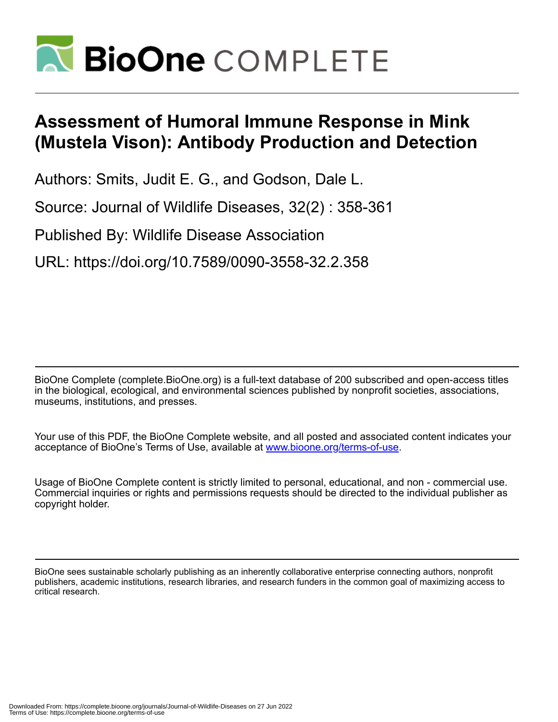

## **Assessment of Humoral Immune Response in Mink (Mustela Vison): Antibody Production and Detection**

Authors: Smits, Judit E. G., and Godson, Dale L.

Source: Journal of Wildlife Diseases, 32(2) : 358-361

Published By: Wildlife Disease Association

URL: https://doi.org/10.7589/0090-3558-32.2.358

BioOne Complete (complete.BioOne.org) is a full-text database of 200 subscribed and open-access titles in the biological, ecological, and environmental sciences published by nonprofit societies, associations, museums, institutions, and presses.

Your use of this PDF, the BioOne Complete website, and all posted and associated content indicates your acceptance of BioOne's Terms of Use, available at www.bioone.org/terms-of-use.

Usage of BioOne Complete content is strictly limited to personal, educational, and non - commercial use. Commercial inquiries or rights and permissions requests should be directed to the individual publisher as copyright holder.

BioOne sees sustainable scholarly publishing as an inherently collaborative enterprise connecting authors, nonprofit publishers, academic institutions, research libraries, and research funders in the common goal of maximizing access to critical research.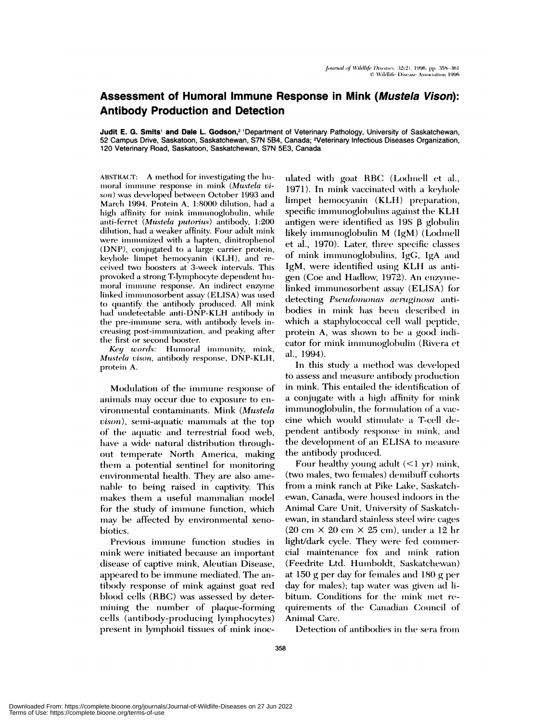## Assessment of Humoral Immune Response in Mink (Mustela Vison): **Antibody Production and Detection**

Judit E. G. Smits' and Dale L. Godson,<sup>2</sup> 'Department of Veterinary Pathology, University of Saskatchewan, 52 Campus Drive, Saskatoon, Saskatchewan, S7N 5B4, Canada; <sup>2</sup>Veterinary Infectious Diseases Organization, 120 Veterinary Road, Saskatoon, Saskatchewan, S7N 5E3, Canada

ABSTRACT: A method for investigating the humoral immune response in mink (Mustela vison) was developed between October 1993 and March 1994. Protein A, 1:8000 dilution, had a high affinity for mink immunoglobulin, while anti-ferret (Mustela putorius) antibody, 1:200 dilution, had a weaker affinity. Four adult mink were immunized with a hapten, dinitrophenol (DNP), conjugated to a large carrier protein, keyhole limpet hemocyanin (KLH), and received two boosters at 3-week intervals. This provoked a strong T-lymphocyte dependent humoral immune response. An indirect enzyme linked immunosorbent assay (ELISA) was used to quantify the antibody produced. All mink had undetectable anti-DNP-KLH antibody in the pre-immune sera, with antibody levels increasing post-immunization, and peaking after the first or second booster.

Key words: Humoral immunity, mink, Mustela vison, antibody response, DNP-KLH, protein A.

Modulation of the immune response of animals may occur due to exposure to environmental contaminants. Mink (Mustela vison), semi-aquatic mammals at the top of the aquatic and terrestrial food web, have a wide natural distribution throughout temperate North America, making them a potential sentinel for monitoring environmental health. They are also amenable to being raised in captivity. This makes them a useful mammalian model for the study of immune function, which may be affected by environmental xenobiotics.

Previous immune function studies in mink were initiated because an important disease of captive mink, Aleutian Disease, appeared to be immune mediated. The antibody response of mink against goat red blood cells (RBC) was assessed by determining the number of plaque-forming cells (antibody-producing lymphocytes) present in lymphoid tissues of mink inoculated with goat RBC (Lodmell et al., 1971). In mink vaccinated with a keyhole limpet hemocyanin (KLH) preparation, specific immunoglobulins against the KLH antigen were identified as  $19S \beta$  globulin likely immunoglobulin M (IgM) (Lodmell et al., 1970). Later, three specific classes of mink immunoglobulins, IgG, IgA and IgM, were identified using KLH as antigen (Coe and Hadlow, 1972). An enzymelinked immunosorbent assay (ELISA) for detecting Pseudomonas aeruginosa antibodies in mink has been described in which a staphylococcal cell wall peptide, protein A, was shown to be a good indicator for mink immunoglobulin (Rivera et al., 1994).

In this study a method was developed to assess and measure antibody production in mink. This entailed the identification of a conjugate with a high affinity for mink immunoglobulin, the formulation of a vaccine which would stimulate a T-cell dependent antibody response in mink, and the development of an ELISA to measure the antibody produced.

Four healthy young adult  $(<1$  yr) mink, (two males, two females) demibuff cohorts from a mink ranch at Pike Lake, Saskatchewan, Canada, were housed indoors in the Animal Care Unit, University of Saskatchewan, in standard stainless steel wire cages  $(20 \text{ cm} \times 20 \text{ cm} \times 25 \text{ cm})$ , under a 12 hr light/dark cycle. They were fed commercial maintenance fox and mink ration (Feedrite Ltd. Humboldt. Saskatchewan) at 150 g per day for females and 180 g per day for males); tap water was given ad libitum. Conditions for the mink met requirements of the Canadian Council of Animal Care.

Detection of antibodies in the sera from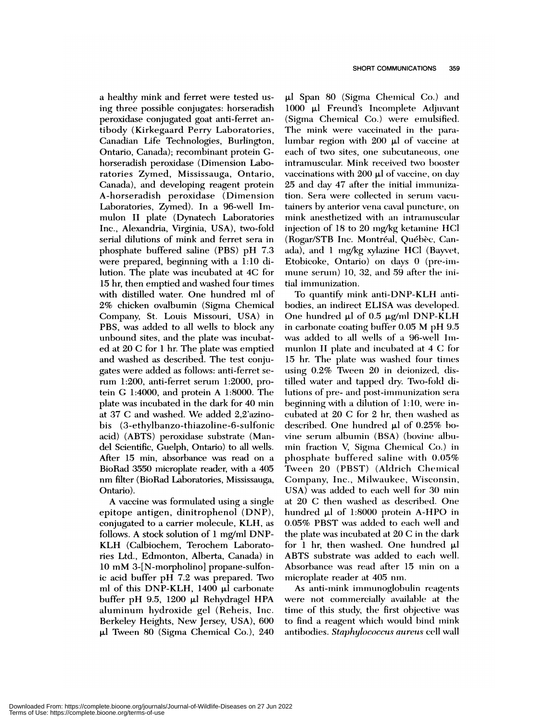a healthy mink and ferret were tested using three possible conjugates: horseradish peroxidase conjugated goat anti-ferret antibody (Kirkegaard Perry Laboratories, Canadian Life Technologies, Burlington, Ontario, Canada); recombinant protein Ghorseradish peroxidase (Dimension Laboratories Zymed, Mississauga, Ontario, Canada), and developing reagent protein A-horseradish peroxidase ( Dimension Laboratories, Zymed). In a 96-well Immulon II plate (Dynatech Laboratories Inc., Alexandria, Virginia, USA), two-fold serial dilutions of mink and ferret sera in phosphate buffered saline (PBS) pH 7.3 were prepared, beginning with a 1:10 dilution. The plate was incubated at 4C for 15 hr, then emptied and washed four times with distilled water. One hundred ml of 2% chicken ovalbumin (Sigma Chemical Company, St. Louis Missouri, USA) in PBS, was added to all wells to block any unbound sites, and the plate was incubated at 20 C for 1 hr. The plate was emptied and washed as described. The test conjugates were added as follows: anti-ferret serum 1:200, anti-ferret serum 1:2000, protein G 1:4000, and protein A 1:8000. The plate was incubated in the dark for 40 min at 37 C and washed. We added 2,2'azinobis (3-ethylbanzo-thiazoline-6-sulfonic acid) (ABTS) peroxidase substrate (Mandel Scientific, Guelph, Ontario) to all wells. After 15 min, absorbance was read on a BioRad 3550 microplate reader, with a 405 nm filter (BioRad Laboratories, Mississauga, Ontario).

A vaccine was formulated using a single epitope antigen, dinitrophenol (DNP), conjugated to a carrier molecule, KLH, as follows. A stock solution of 1 mg/ml DNP-KLH (Calbiochem, Terochem Laboratories Ltd., Edmonton, Alberta, Canada) in 10 mM 3-[N-morpholino] propane-sulfonic acid buffer pH 7.2 was prepared. Two ml of this DNP-KLH, 1400 µl carbonate buffer pH 9.5, 1200  $\mu$ l Rehydragel HPA aluminum hydroxide gel (Reheis, Inc. Berkeley Heights, New Jersey, USA), 600 **iii** Tween 80 (Sigma Chemical Co.), 240  $\mu$  Span 80 (Sigma Chemical Co.) and 1000 µl Freund's Incomplete Adjuvant (Sigma Chemical Co.) were emulsified. The mink were vaccinated in the paralumbar region with  $200 \mu l$  of vaccine at each of two sites, one subcutaneous, one intramuscular. Mink received two booster vaccinations with  $200 \mu l$  of vaccine, on day 25 and day 47 after the initial immunization. Sera were collected in serum vacutainers by anterior vena caval puncture, on mink anesthetized with an intramuscular injection of  $18$  to  $20$  mg/kg ketamine HCl (Rogar/STB Inc. Montréal, Québèc, Canada), and 1 mg/kg xylazine HC1 (Bayvet, Etobicoke, Ontario) on days 0 (pre-immune serum) 10, 32, and 59 after the initial immunization.

To quantify mink anti-DNP-KLH antibodies, an indirect ELISA was developed. **One hundreol** ph of 0.5 pg/mi DNP-KLH in carbonate coating buffer 0.05 M pH 9.5 was added to all wells of a 96-well Immunlon II plate and incubated at 4 C for 15 hr. The plate was washed four times using  $0.2\%$  Tween  $20$  in deionized, distilled water and tapped dry. Two-fold dilutions of pre- and post-immunization sera beginning with a dilution of  $1:10$ , were incubated at  $20 \text{ C}$  for  $2 \text{ hr}$ , then washed as described. One hundred  $\mu$ l of 0.25% bovine serum albumin (BSA) (bovine albumin fraction V, Sigma Chemical Co.) in phosphate buffered saline with  $0.05\%$ Tween 20 (PBST) (Aldrich Chemical Company, Inc., Milwaukee, Wisconsin, USA) was added to each well for 30 min at 20 C then washed as described. One hundred µl of 1:8000 protein A-HPO in 0.05% PBST was added to each well and the plate was incubated at  $20 \text{ C}$  in the dark for 1 hr, then washed. One hundred  $\mu$ l ABTS substrate was added to each well. Absorbance was read after 15 min on a microplate reader at 405 nm.

As anti-mink immnunoglobuhin reagents were not commercially available at the time of this study, the first objective was to find a reagent which would bind mink antibodies. *Staphylococcus aureus* cell wall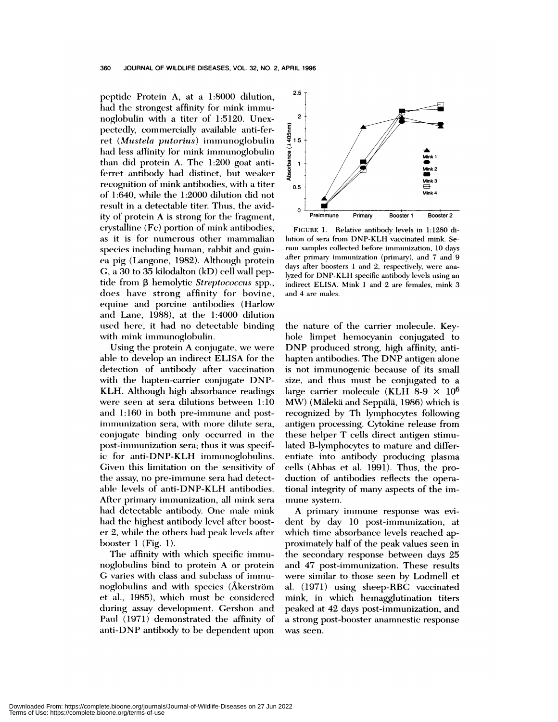peptide Protein A, at a 1:8000 dilution, had the strongest affinity for mink immunoglobulin with a titer of 1:5120. Unexpectedly, commercially available anti-ferret (Mustela putorius) immunoglobulin had less affinity for mink immunoglobulin than did protein A. The 1:200 goat antiferret antibody had distinct, but weaker recognition of mink antibodies, with a titer of 1:640, while the 1:2000 dilution did not result in a detectable titer. Thus, the avidity of protein A is strong for the fragment, crystalline (Fc) portion of mink antibodies, as it is for numerous other mammalian species including human, rabbit and guinea pig (Langone, 1982). Although protein G, a 30 to 35 kilodalton (kD) cell wall peptide from β hemolytic Streptococcus spp., does have strong affinity for bovine, equine and porcine antibodies (Harlow and Lane, 1988), at the 1:4000 dilution used here, it had no detectable binding with mink immunoglobulin.

Using the protein A conjugate, we were able to develop an indirect ELISA for the detection of antibody after vaccination with the hapten-carrier conjugate DNP-KLH. Although high absorbance readings were seen at sera dilutions between 1:10 and 1:160 in both pre-immune and postimmunization sera, with more dilute sera, conjugate binding only occurred in the post-immunization sera; thus it was specific for anti-DNP-KLH immunoglobulins. Given this limitation on the sensitivity of the assay, no pre-immune sera had detectable levels of anti-DNP-KLH antibodies. After primary immunization, all mink sera had detectable antibody. One male mink had the highest antibody level after booster 2, while the others had peak levels after booster  $1$  (Fig. 1).

The affinity with which specific immunoglobulins bind to protein A or protein G varies with class and subclass of immunoglobulins and with species (Åkerström et al., 1985), which must be considered during assay development. Gershon and Paul (1971) demonstrated the affinity of anti-DNP antibody to be dependent upon



FIGURE 1. Relative antibody levels in 1:1280 dilution of sera from DNP-KLH vaccinated mink. Serum samples collected before immunization, 10 days after primary immunization (primary), and 7 and 9 days after boosters 1 and 2, respectively, were analyzed for DNP-KLH specific antibody levels using an indirect ELISA. Mink 1 and 2 are females, mink 3 and 4 are males.

the nature of the carrier molecule. Keyhole limpet hemocyanin conjugated to DNP produced strong, high affinity, antihapten antibodies. The DNP antigen alone is not immunogenic because of its small size, and thus must be conjugated to a large carrier molecule (KLH 8-9  $\times$  10<sup>6</sup> MW) (Mälekä and Seppälä, 1986) which is recognized by Th lymphocytes following antigen processing. Cytokine release from these helper T cells direct antigen stimulated B-lymphocytes to mature and differentiate into antibody producing plasma cells (Abbas et al. 1991). Thus, the production of antibodies reflects the operational integrity of many aspects of the immune system.

A primary immune response was evident by day 10 post-immunization, at which time absorbance levels reached approximately half of the peak values seen in the secondary response between days 25 and 47 post-immunization. These results were similar to those seen by Lodmell et al. (1971) using sheep-RBC vaccinated mink, in which hemagglutination titers peaked at 42 days post-immunization, and a strong post-booster anamnestic response was seen.